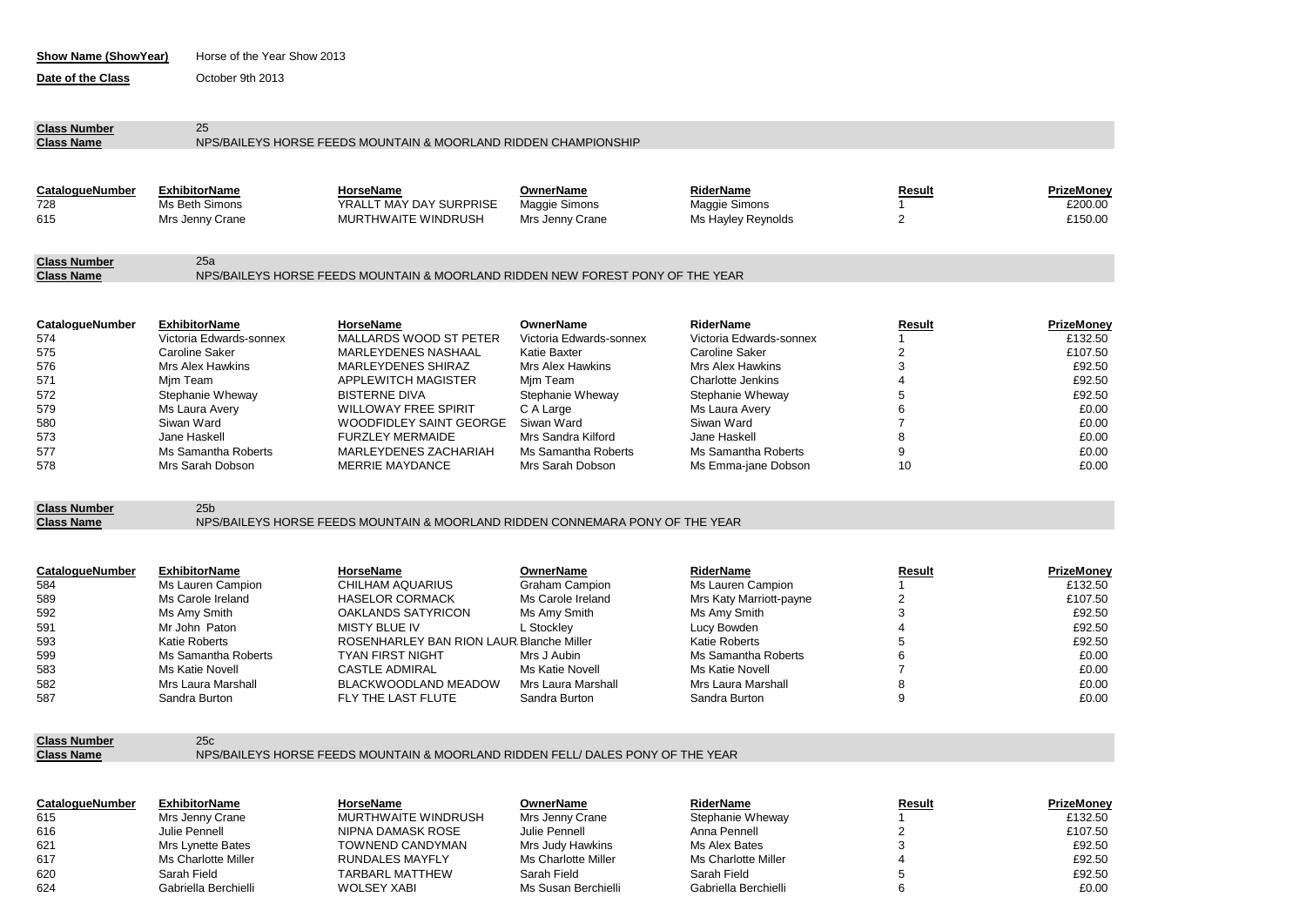| Show Name (ShowYear)                                                                         | Horse of the Year Show 2013                                                                                                                                                                                      |                                                                                                                                                                                                                                                                                              |                                                                                                                                                                                                                           |                                                                                                                                                                                                                          |                                                                                                                    |                                                                                                             |
|----------------------------------------------------------------------------------------------|------------------------------------------------------------------------------------------------------------------------------------------------------------------------------------------------------------------|----------------------------------------------------------------------------------------------------------------------------------------------------------------------------------------------------------------------------------------------------------------------------------------------|---------------------------------------------------------------------------------------------------------------------------------------------------------------------------------------------------------------------------|--------------------------------------------------------------------------------------------------------------------------------------------------------------------------------------------------------------------------|--------------------------------------------------------------------------------------------------------------------|-------------------------------------------------------------------------------------------------------------|
| Date of the Class                                                                            | October 9th 2013                                                                                                                                                                                                 |                                                                                                                                                                                                                                                                                              |                                                                                                                                                                                                                           |                                                                                                                                                                                                                          |                                                                                                                    |                                                                                                             |
| <b>Class Number</b><br><b>Class Name</b>                                                     | 25                                                                                                                                                                                                               | NPS/BAILEYS HORSE FEEDS MOUNTAIN & MOORLAND RIDDEN CHAMPIONSHIP                                                                                                                                                                                                                              |                                                                                                                                                                                                                           |                                                                                                                                                                                                                          |                                                                                                                    |                                                                                                             |
| <b>CatalogueNumber</b><br>728<br>615                                                         | <b>ExhibitorName</b><br>Ms Beth Simons<br>Mrs Jenny Crane                                                                                                                                                        | <b>HorseName</b><br>YRALLT MAY DAY SURPRISE<br>MURTHWAITE WINDRUSH                                                                                                                                                                                                                           | <b>OwnerName</b><br>Maggie Simons<br>Mrs Jenny Crane                                                                                                                                                                      | RiderName<br>Maggie Simons<br>Ms Hayley Reynolds                                                                                                                                                                         | Result<br>$\overline{1}$<br>$\overline{2}$                                                                         | <b>PrizeMoney</b><br>£200.00<br>£150.00                                                                     |
| <b>Class Number</b><br><b>Class Name</b>                                                     | 25a                                                                                                                                                                                                              | NPS/BAILEYS HORSE FEEDS MOUNTAIN & MOORLAND RIDDEN NEW FOREST PONY OF THE YEAR                                                                                                                                                                                                               |                                                                                                                                                                                                                           |                                                                                                                                                                                                                          |                                                                                                                    |                                                                                                             |
| <b>CatalogueNumber</b><br>574<br>575<br>576<br>571<br>572<br>579<br>580<br>573<br>577<br>578 | <b>ExhibitorName</b><br>Victoria Edwards-sonnex<br>Caroline Saker<br>Mrs Alex Hawkins<br>Mim Team<br>Stephanie Wheway<br>Ms Laura Avery<br>Siwan Ward<br>Jane Haskell<br>Ms Samantha Roberts<br>Mrs Sarah Dobson | <b>HorseName</b><br>MALLARDS WOOD ST PETER<br>MARLEYDENES NASHAAL<br><b>MARLEYDENES SHIRAZ</b><br><b>APPLEWITCH MAGISTER</b><br><b>BISTERNE DIVA</b><br><b>WILLOWAY FREE SPIRIT</b><br>WOODFIDLEY SAINT GEORGE<br><b>FURZLEY MERMAIDE</b><br>MARLEYDENES ZACHARIAH<br><b>MERRIE MAYDANCE</b> | <b>OwnerName</b><br>Victoria Edwards-sonnex<br><b>Katie Baxter</b><br><b>Mrs Alex Hawkins</b><br>Mjm Team<br>Stephanie Wheway<br>C A Large<br>Siwan Ward<br>Mrs Sandra Kilford<br>Ms Samantha Roberts<br>Mrs Sarah Dobson | <b>RiderName</b><br>Victoria Edwards-sonnex<br>Caroline Saker<br>Mrs Alex Hawkins<br>Charlotte Jenkins<br>Stephanie Wheway<br>Ms Laura Avery<br>Siwan Ward<br>Jane Haskell<br>Ms Samantha Roberts<br>Ms Emma-jane Dobson | <b>Result</b><br>$\mathbf{1}$<br>$\overline{2}$<br>3<br>$\overline{4}$<br>5<br>6<br>$\overline{7}$<br>8<br>9<br>10 | PrizeMoney<br>£132.50<br>£107.50<br>£92.50<br>£92.50<br>£92.50<br>£0.00<br>£0.00<br>£0.00<br>£0.00<br>£0.00 |
| <b>Class Number</b><br><b>Class Name</b>                                                     | 25 <sub>b</sub>                                                                                                                                                                                                  | NPS/BAILEYS HORSE FEEDS MOUNTAIN & MOORLAND RIDDEN CONNEMARA PONY OF THE YEAR                                                                                                                                                                                                                |                                                                                                                                                                                                                           |                                                                                                                                                                                                                          |                                                                                                                    |                                                                                                             |
| <b>CatalogueNumber</b><br>584<br>589<br>592<br>591<br>593<br>599<br>583<br>582<br>587        | <b>ExhibitorName</b><br>Ms Lauren Campion<br>Ms Carole Ireland<br>Ms Amy Smith<br>Mr John Paton<br>Katie Roberts<br>Ms Samantha Roberts<br>Ms Katie Novell<br>Mrs Laura Marshall<br>Sandra Burton                | <b>HorseName</b><br>CHILHAM AQUARIUS<br><b>HASELOR CORMACK</b><br>OAKLANDS SATYRICON<br><b>MISTY BLUE IV</b><br>ROSENHARLEY BAN RION LAUR Blanche Miller<br><b>TYAN FIRST NIGHT</b><br><b>CASTLE ADMIRAL</b><br>BLACKWOODLAND MEADOW<br>FLY THE LAST FLUTE                                   | <b>OwnerName</b><br><b>Graham Campion</b><br>Ms Carole Ireland<br>Ms Amy Smith<br>L Stockley<br>Mrs J Aubin<br>Ms Katie Novell<br>Mrs Laura Marshall<br>Sandra Burton                                                     | RiderName<br>Ms Lauren Campion<br>Mrs Katy Marriott-payne<br>Ms Amy Smith<br>Lucy Bowden<br><b>Katie Roberts</b><br>Ms Samantha Roberts<br><b>Ms Katie Novell</b><br>Mrs Laura Marshall<br>Sandra Burton                 | <b>Result</b><br>$\mathbf{1}$<br>2<br>3<br>$\overline{4}$<br>5<br>6<br>$\overline{7}$<br>8<br>9                    | PrizeMoney<br>£132.50<br>£107.50<br>£92.50<br>£92.50<br>£92.50<br>£0.00<br>£0.00<br>£0.00<br>£0.00          |
| <b>Class Number</b><br><b>Class Name</b>                                                     | 25c                                                                                                                                                                                                              | NPS/BAILEYS HORSE FEEDS MOUNTAIN & MOORLAND RIDDEN FELL/ DALES PONY OF THE YEAR                                                                                                                                                                                                              |                                                                                                                                                                                                                           |                                                                                                                                                                                                                          |                                                                                                                    |                                                                                                             |
| CatalogueNumber<br>615<br>616                                                                | <b>ExhibitorName</b><br>Mrs Jenny Crane<br>Julie Pennell                                                                                                                                                         | <b>HorseName</b><br>MURTHWAITE WINDRUSH<br>NIPNA DAMASK ROSE                                                                                                                                                                                                                                 | <b>OwnerName</b><br>Mrs Jenny Crane<br>Julie Pennell                                                                                                                                                                      | <b>RiderName</b><br>Stephanie Wheway<br>Anna Pennell                                                                                                                                                                     | <b>Result</b><br>$\mathbf{1}$<br>$\overline{2}$                                                                    | <b>PrizeMoney</b><br>£132.50<br>£107.50                                                                     |

 Mrs Judy Hawkins Ms Alex Bates Mrs Lynette Bates TOWNEND CANDYMAN 3 £92.50 617 Ms Charlotte Miller Charlotte Miller Nuller RUNDALES MAYFLY Ms Charlotte Miller Mis Charlotte Miller Mus Charlotte Miller 192.50 Sarah Field Sarah Field Sarah Field TARBARL MATTHEW 5 £92.50 Ms Susan Berchielli Gabriella Berchielli Gabriella Berchielli WOLSEY XABI 6 £0.00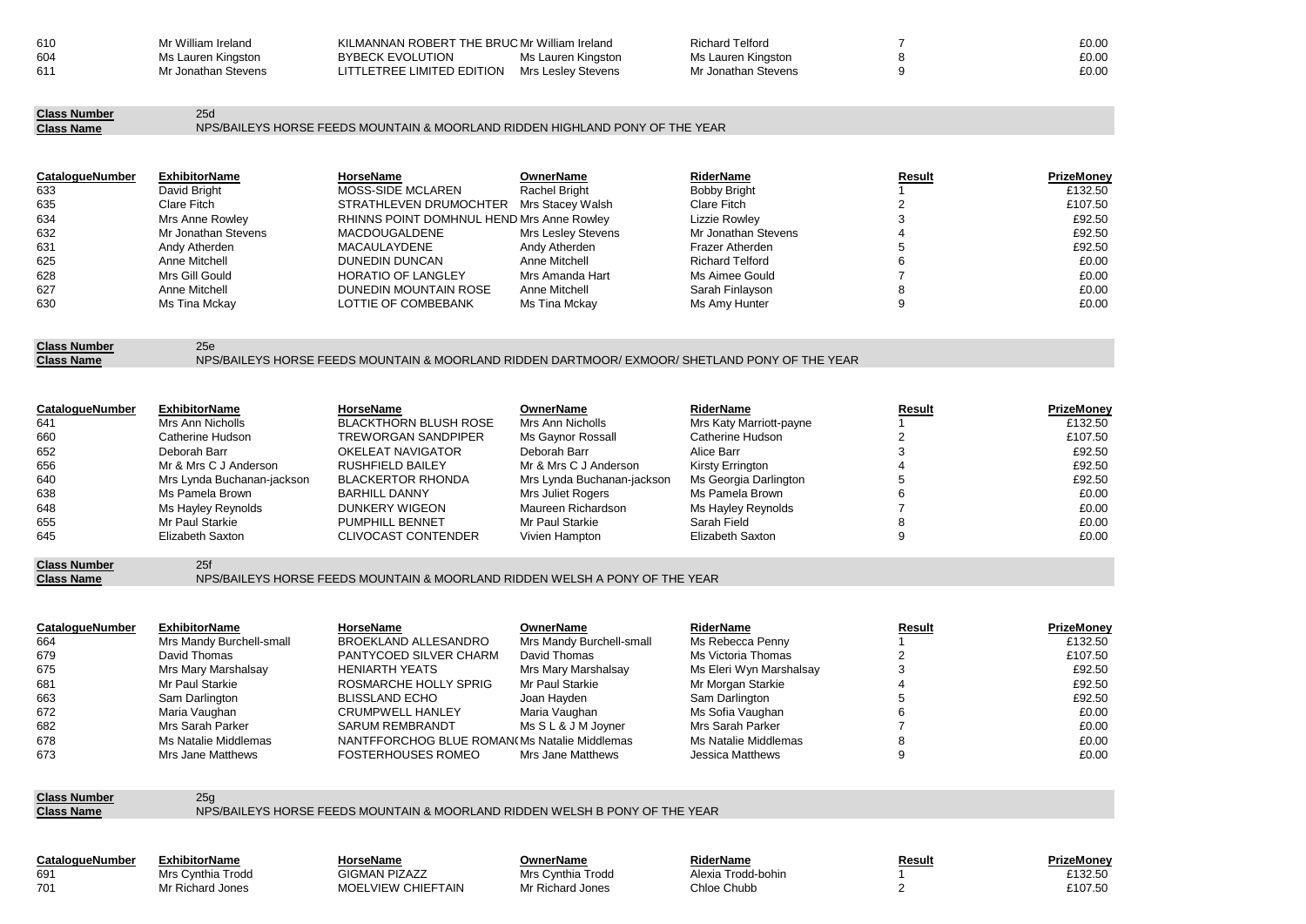| 610 | Mr William Ireland  | KILMANNAN ROBERT THE BRUC Mr William Ireland |                    | <b>Richard Telford</b> | £0.00 |
|-----|---------------------|----------------------------------------------|--------------------|------------------------|-------|
| 604 | Ms Lauren Kingston  | BYBECK EVOLUTION                             | Ms Lauren Kingston | Ms Lauren Kingston     | £0.00 |
| 611 | Mr Jonathan Stevens | LITTLETREE LIMITED EDITION                   | Mrs Leslev Stevens | Mr Jonathan Stevens    | £0.00 |

| <b>Class Number</b>  | 25d          |
|----------------------|--------------|
| $\sim$ $\sim$ $\sim$ | $\mathbf{N}$ |

## **Class Name** NPS/BAILEYS HORSE FEEDS MOUNTAIN & MOORLAND RIDDEN HIGHLAND PONY OF THE YEAR

| <b>CatalogueNumber</b> | <b>ExhibitorName</b> | HorseName                                 | OwnerName          | RiderName           | Result | PrizeMonev |
|------------------------|----------------------|-------------------------------------------|--------------------|---------------------|--------|------------|
| 633                    | David Bright         | <b>MOSS-SIDE MCLAREN</b>                  | Rachel Bright      | <b>Bobby Bright</b> |        | £132.50    |
| 635                    | Clare Fitch          | STRATHLEVEN DRUMOCHTER Mrs Stacey Walsh   |                    | Clare Fitch         |        | £107.50    |
| 634                    | Mrs Anne Rowley      | RHINNS POINT DOMHNUL HEND Mrs Anne Rowley |                    | Lizzie Rowlev       |        | £92.50     |
| 632                    | Mr Jonathan Stevens  | MACDOUGALDENE                             | Mrs Lesley Stevens | Mr Jonathan Stevens |        | £92.50     |
| 631                    | Andy Atherden        | MACAULAYDENE                              | Andy Atherden      | Frazer Atherden     |        | £92.50     |
| 625                    | Anne Mitchell        | DUNEDIN DUNCAN                            | Anne Mitchell      | Richard Telford     |        | £0.00      |
| 628                    | Mrs Gill Gould       | <b>HORATIO OF LANGLEY</b>                 | Mrs Amanda Hart    | Ms Aimee Gould      |        | £0.00      |
| 627                    | Anne Mitchell        | DUNEDIN MOUNTAIN ROSE                     | Anne Mitchell      | Sarah Finlayson     |        | £0.00      |
| 630                    | Ms Tina Mckay        | LOTTIE OF COMBEBANK                       | Ms Tina Mckav      | Ms Amy Hunter       |        | £0.00      |

| <b>Class Number</b> | 25e                                                                                            |
|---------------------|------------------------------------------------------------------------------------------------|
| <b>Class Name</b>   | NPS/BAILEYS HORSE FEEDS MOUNTAIN & MOORLAND RIDDEN DARTMOOR/ EXMOOR/ SHETLAND PONY OF THE YEAR |

| <b>CatalogueNumber</b> | <b>ExhibitorName</b>       | HorseName                    | OwnerName                  | RiderName               | Result | <b>PrizeMoney</b> |
|------------------------|----------------------------|------------------------------|----------------------------|-------------------------|--------|-------------------|
| 641                    | Mrs Ann Nicholls           | <b>BLACKTHORN BLUSH ROSE</b> | Mrs Ann Nicholls           | Mrs Katy Marriott-payne |        | £132.50           |
| 660                    | Catherine Hudson           | <b>TREWORGAN SANDPIPER</b>   | Ms Gaynor Rossall          | Catherine Hudson        |        | £107.50           |
| 652                    | Deborah Barr               | <b>OKELEAT NAVIGATOR</b>     | Deborah Barr               | Alice Barr              |        | £92.50            |
| 656                    | Mr & Mrs C J Anderson      | RUSHFIELD BAILEY             | Mr & Mrs C J Anderson      | Kirsty Errington        |        | £92.50            |
| 640                    | Mrs Lynda Buchanan-jackson | <b>BLACKERTOR RHONDA</b>     | Mrs Lynda Buchanan-jackson | Ms Georgia Darlington   |        | £92.50            |
| 638                    | Ms Pamela Brown            | <b>BARHILL DANNY</b>         | Mrs Juliet Rogers          | Ms Pamela Brown         |        | £0.00             |
| 648                    | Ms Hayley Reynolds         | DUNKERY WIGEON               | Maureen Richardson         | Ms Hayley Reynolds      |        | £0.00             |
| 655                    | Mr Paul Starkie            | <b>PUMPHILL BENNET</b>       | Mr Paul Starkie            | Sarah Field             |        | £0.00             |
| 645                    | Elizabeth Saxton           | <b>CLIVOCAST CONTENDER</b>   | Vivien Hampton             | Elizabeth Saxton        | 9      | £0.00             |
| Oleen Monetan          | QFL                        |                              |                            |                         |        |                   |

**Class Number** 25f<br> **Class Name** NP **Class Name** NPS/BAILEYS HORSE FEEDS MOUNTAIN & MOORLAND RIDDEN WELSH A PONY OF THE YEAR

| <b>CatalogueNumber</b> | <b>ExhibitorName</b>     | HorseName                                    | OwnerName                | RiderName               | Result | PrizeMoney |
|------------------------|--------------------------|----------------------------------------------|--------------------------|-------------------------|--------|------------|
| 664                    | Mrs Mandy Burchell-small | BROEKLAND ALLESANDRO                         | Mrs Mandy Burchell-small | Ms Rebecca Penny        |        | £132.50    |
| 679                    | David Thomas             | PANTYCOED SILVER CHARM                       | David Thomas             | Ms Victoria Thomas      |        | £107.50    |
| 675                    | Mrs Mary Marshalsay      | HENIARTH YEATS                               | Mrs Mary Marshalsay      | Ms Eleri Wyn Marshalsay |        | £92.50     |
| 681                    | Mr Paul Starkie          | ROSMARCHE HOLLY SPRIG                        | Mr Paul Starkie          | Mr Morgan Starkie       |        | £92.50     |
| 663                    | Sam Darlington           | <b>BLISSLAND ECHO</b>                        | Joan Havden              | Sam Darlington          |        | £92.50     |
| 672                    | Maria Vaughan            | <b>CRUMPWELL HANLEY</b>                      | Maria Vaughan            | Ms Sofia Vaughan        |        | £0.00      |
| 682                    | Mrs Sarah Parker         | SARUM REMBRANDT                              | Ms S L & J M Joyner      | Mrs Sarah Parker        |        | £0.00      |
| 678                    | Ms Natalie Middlemas     | NANTFFORCHOG BLUE ROMAN(Ms Natalie Middlemas |                          | Ms Natalie Middlemas    |        | £0.00      |
| 673                    | Mrs Jane Matthews        | <b>FOSTERHOUSES ROMEO</b>                    | Mrs Jane Matthews        | Jessica Matthews        |        | £0.00      |

**Class Number** 25g

**Class Name** NPS/BAILEYS HORSE FEEDS MOUNTAIN & MOORLAND RIDDEN WELSH B PONY OF THE YEAR

**CatalogueNumber OwnerName RiderName** 691 Mrs Cynthia Trodd

**ExhibitorName HorseName Result**

701 Mr Richard Jones Chloe Chubb Mr Richard Jones MOELVIEW CHIEFTAIN 2 £107.50

Alexia Trodd-bohin 2020

**PrizeMoney**